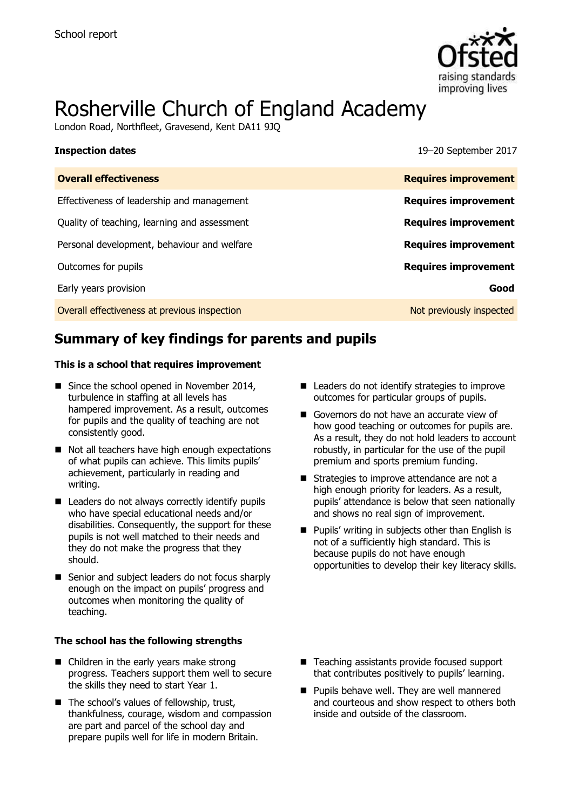

# Rosherville Church of England Academy

London Road, Northfleet, Gravesend, Kent DA11 9JQ

| <b>Inspection dates</b>                      | 19-20 September 2017        |
|----------------------------------------------|-----------------------------|
| <b>Overall effectiveness</b>                 | <b>Requires improvement</b> |
| Effectiveness of leadership and management   | <b>Requires improvement</b> |
| Quality of teaching, learning and assessment | <b>Requires improvement</b> |
| Personal development, behaviour and welfare  | <b>Requires improvement</b> |
| Outcomes for pupils                          | <b>Requires improvement</b> |
| Early years provision                        | Good                        |
| Overall effectiveness at previous inspection | Not previously inspected    |

# **Summary of key findings for parents and pupils**

#### **This is a school that requires improvement**

- Since the school opened in November 2014, turbulence in staffing at all levels has hampered improvement. As a result, outcomes for pupils and the quality of teaching are not consistently good.
- Not all teachers have high enough expectations of what pupils can achieve. This limits pupils' achievement, particularly in reading and writing.
- Leaders do not always correctly identify pupils who have special educational needs and/or disabilities. Consequently, the support for these pupils is not well matched to their needs and they do not make the progress that they should.
- Senior and subject leaders do not focus sharply enough on the impact on pupils' progress and outcomes when monitoring the quality of teaching.

#### **The school has the following strengths**

- Children in the early years make strong progress. Teachers support them well to secure the skills they need to start Year 1.
- The school's values of fellowship, trust, thankfulness, courage, wisdom and compassion are part and parcel of the school day and prepare pupils well for life in modern Britain.
- Leaders do not identify strategies to improve outcomes for particular groups of pupils.
- Governors do not have an accurate view of how good teaching or outcomes for pupils are. As a result, they do not hold leaders to account robustly, in particular for the use of the pupil premium and sports premium funding.
- Strategies to improve attendance are not a high enough priority for leaders. As a result, pupils' attendance is below that seen nationally and shows no real sign of improvement.
- **Pupils' writing in subjects other than English is** not of a sufficiently high standard. This is because pupils do not have enough opportunities to develop their key literacy skills.

- Teaching assistants provide focused support that contributes positively to pupils' learning.
- **Pupils behave well. They are well mannered** and courteous and show respect to others both inside and outside of the classroom.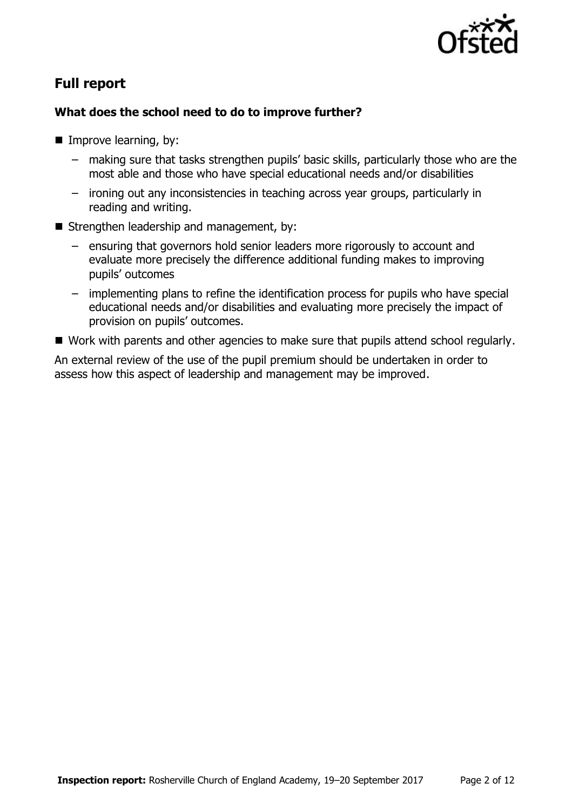

# **Full report**

### **What does the school need to do to improve further?**

- **Improve learning, by:** 
	- making sure that tasks strengthen pupils' basic skills, particularly those who are the most able and those who have special educational needs and/or disabilities
	- ironing out any inconsistencies in teaching across year groups, particularly in reading and writing.
- Strengthen leadership and management, by:
	- ensuring that governors hold senior leaders more rigorously to account and evaluate more precisely the difference additional funding makes to improving pupils' outcomes
	- implementing plans to refine the identification process for pupils who have special educational needs and/or disabilities and evaluating more precisely the impact of provision on pupils' outcomes.
- Work with parents and other agencies to make sure that pupils attend school regularly.

An external review of the use of the pupil premium should be undertaken in order to assess how this aspect of leadership and management may be improved.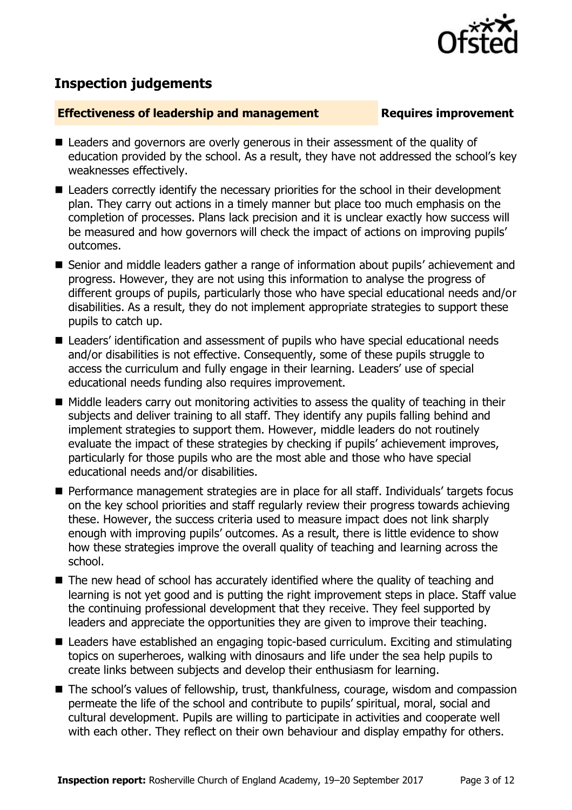

## **Inspection judgements**

#### **Effectiveness of leadership and management Requires improvement**

- Leaders and governors are overly generous in their assessment of the quality of education provided by the school. As a result, they have not addressed the school's key weaknesses effectively.
- Leaders correctly identify the necessary priorities for the school in their development plan. They carry out actions in a timely manner but place too much emphasis on the completion of processes. Plans lack precision and it is unclear exactly how success will be measured and how governors will check the impact of actions on improving pupils' outcomes.
- Senior and middle leaders gather a range of information about pupils' achievement and progress. However, they are not using this information to analyse the progress of different groups of pupils, particularly those who have special educational needs and/or disabilities. As a result, they do not implement appropriate strategies to support these pupils to catch up.
- Leaders' identification and assessment of pupils who have special educational needs and/or disabilities is not effective. Consequently, some of these pupils struggle to access the curriculum and fully engage in their learning. Leaders' use of special educational needs funding also requires improvement.
- $\blacksquare$  Middle leaders carry out monitoring activities to assess the quality of teaching in their subjects and deliver training to all staff. They identify any pupils falling behind and implement strategies to support them. However, middle leaders do not routinely evaluate the impact of these strategies by checking if pupils' achievement improves, particularly for those pupils who are the most able and those who have special educational needs and/or disabilities.
- Performance management strategies are in place for all staff. Individuals' targets focus on the key school priorities and staff regularly review their progress towards achieving these. However, the success criteria used to measure impact does not link sharply enough with improving pupils' outcomes. As a result, there is little evidence to show how these strategies improve the overall quality of teaching and learning across the school.
- The new head of school has accurately identified where the quality of teaching and learning is not yet good and is putting the right improvement steps in place. Staff value the continuing professional development that they receive. They feel supported by leaders and appreciate the opportunities they are given to improve their teaching.
- Leaders have established an engaging topic-based curriculum. Exciting and stimulating topics on superheroes, walking with dinosaurs and life under the sea help pupils to create links between subjects and develop their enthusiasm for learning.
- The school's values of fellowship, trust, thankfulness, courage, wisdom and compassion permeate the life of the school and contribute to pupils' spiritual, moral, social and cultural development. Pupils are willing to participate in activities and cooperate well with each other. They reflect on their own behaviour and display empathy for others.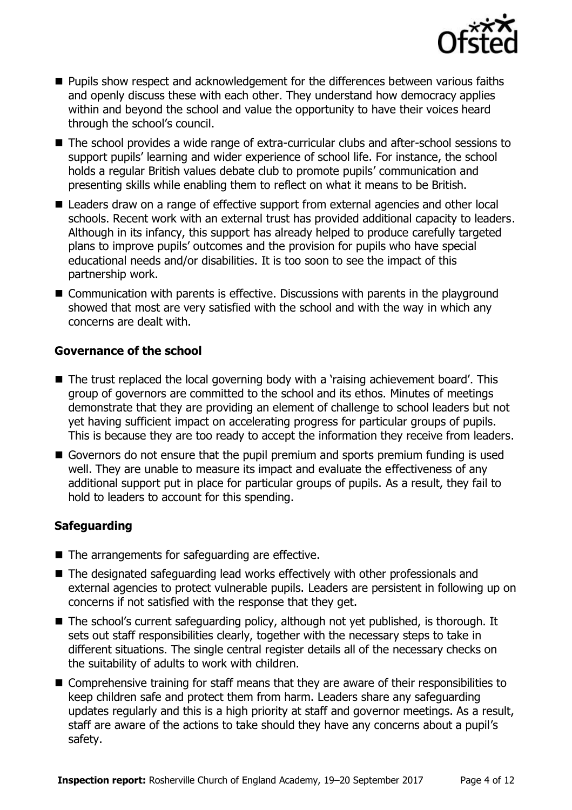

- **Pupils show respect and acknowledgement for the differences between various faiths** and openly discuss these with each other. They understand how democracy applies within and beyond the school and value the opportunity to have their voices heard through the school's council.
- The school provides a wide range of extra-curricular clubs and after-school sessions to support pupils' learning and wider experience of school life. For instance, the school holds a regular British values debate club to promote pupils' communication and presenting skills while enabling them to reflect on what it means to be British.
- Leaders draw on a range of effective support from external agencies and other local schools. Recent work with an external trust has provided additional capacity to leaders. Although in its infancy, this support has already helped to produce carefully targeted plans to improve pupils' outcomes and the provision for pupils who have special educational needs and/or disabilities. It is too soon to see the impact of this partnership work.
- Communication with parents is effective. Discussions with parents in the playground showed that most are very satisfied with the school and with the way in which any concerns are dealt with.

### **Governance of the school**

- The trust replaced the local governing body with a 'raising achievement board'. This group of governors are committed to the school and its ethos. Minutes of meetings demonstrate that they are providing an element of challenge to school leaders but not yet having sufficient impact on accelerating progress for particular groups of pupils. This is because they are too ready to accept the information they receive from leaders.
- Governors do not ensure that the pupil premium and sports premium funding is used well. They are unable to measure its impact and evaluate the effectiveness of any additional support put in place for particular groups of pupils. As a result, they fail to hold to leaders to account for this spending.

### **Safeguarding**

- The arrangements for safeguarding are effective.
- The designated safeguarding lead works effectively with other professionals and external agencies to protect vulnerable pupils. Leaders are persistent in following up on concerns if not satisfied with the response that they get.
- The school's current safeguarding policy, although not yet published, is thorough. It sets out staff responsibilities clearly, together with the necessary steps to take in different situations. The single central register details all of the necessary checks on the suitability of adults to work with children.
- Comprehensive training for staff means that they are aware of their responsibilities to keep children safe and protect them from harm. Leaders share any safeguarding updates regularly and this is a high priority at staff and governor meetings. As a result, staff are aware of the actions to take should they have any concerns about a pupil's safety.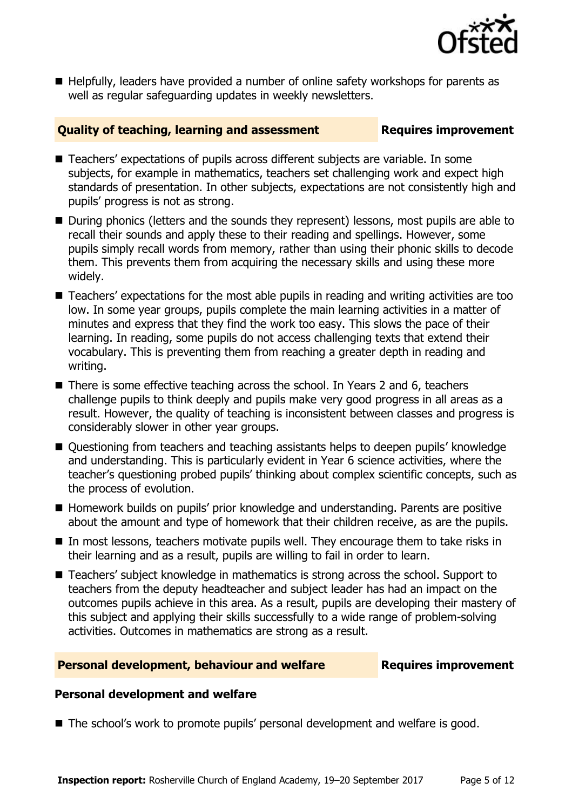

■ Helpfully, leaders have provided a number of online safety workshops for parents as well as regular safeguarding updates in weekly newsletters.

#### **Quality of teaching, learning and assessment Requires improvement**

- Teachers' expectations of pupils across different subjects are variable. In some subjects, for example in mathematics, teachers set challenging work and expect high standards of presentation. In other subjects, expectations are not consistently high and pupils' progress is not as strong.
- During phonics (letters and the sounds they represent) lessons, most pupils are able to recall their sounds and apply these to their reading and spellings. However, some pupils simply recall words from memory, rather than using their phonic skills to decode them. This prevents them from acquiring the necessary skills and using these more widely.
- Teachers' expectations for the most able pupils in reading and writing activities are too low. In some year groups, pupils complete the main learning activities in a matter of minutes and express that they find the work too easy. This slows the pace of their learning. In reading, some pupils do not access challenging texts that extend their vocabulary. This is preventing them from reaching a greater depth in reading and writing.
- There is some effective teaching across the school. In Years 2 and 6, teachers challenge pupils to think deeply and pupils make very good progress in all areas as a result. However, the quality of teaching is inconsistent between classes and progress is considerably slower in other year groups.
- Questioning from teachers and teaching assistants helps to deepen pupils' knowledge and understanding. This is particularly evident in Year 6 science activities, where the teacher's questioning probed pupils' thinking about complex scientific concepts, such as the process of evolution.
- Homework builds on pupils' prior knowledge and understanding. Parents are positive about the amount and type of homework that their children receive, as are the pupils.
- In most lessons, teachers motivate pupils well. They encourage them to take risks in their learning and as a result, pupils are willing to fail in order to learn.
- Teachers' subject knowledge in mathematics is strong across the school. Support to teachers from the deputy headteacher and subject leader has had an impact on the outcomes pupils achieve in this area. As a result, pupils are developing their mastery of this subject and applying their skills successfully to a wide range of problem-solving activities. Outcomes in mathematics are strong as a result.

#### **Personal development, behaviour and welfare Fig. 2.1 Requires improvement**

#### **Personal development and welfare**

■ The school's work to promote pupils' personal development and welfare is good.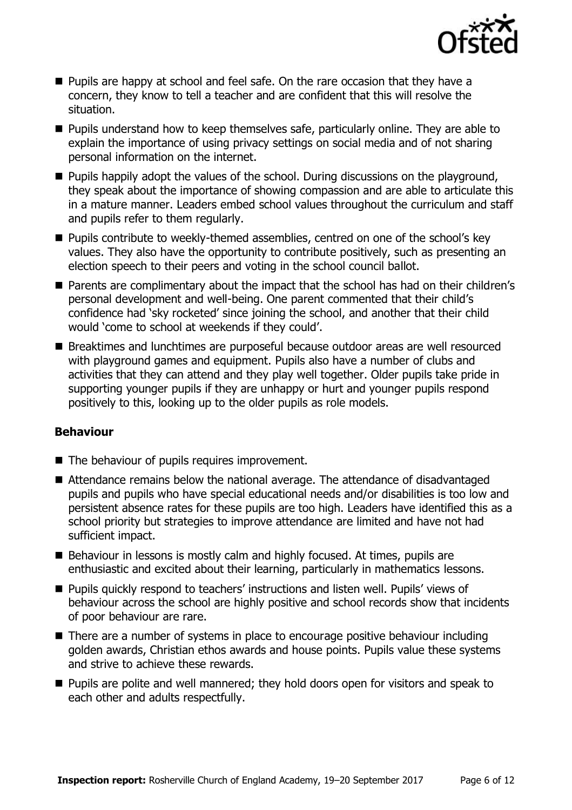

- **Pupils are happy at school and feel safe. On the rare occasion that they have a** concern, they know to tell a teacher and are confident that this will resolve the situation.
- **Pupils understand how to keep themselves safe, particularly online. They are able to** explain the importance of using privacy settings on social media and of not sharing personal information on the internet.
- $\blacksquare$  Pupils happily adopt the values of the school. During discussions on the playground, they speak about the importance of showing compassion and are able to articulate this in a mature manner. Leaders embed school values throughout the curriculum and staff and pupils refer to them regularly.
- **Pupils contribute to weekly-themed assemblies, centred on one of the school's key** values. They also have the opportunity to contribute positively, such as presenting an election speech to their peers and voting in the school council ballot.
- Parents are complimentary about the impact that the school has had on their children's personal development and well-being. One parent commented that their child's confidence had 'sky rocketed' since joining the school, and another that their child would 'come to school at weekends if they could'.
- **Breaktimes and lunchtimes are purposeful because outdoor areas are well resourced** with playground games and equipment. Pupils also have a number of clubs and activities that they can attend and they play well together. Older pupils take pride in supporting younger pupils if they are unhappy or hurt and younger pupils respond positively to this, looking up to the older pupils as role models.

### **Behaviour**

- The behaviour of pupils requires improvement.
- Attendance remains below the national average. The attendance of disadvantaged pupils and pupils who have special educational needs and/or disabilities is too low and persistent absence rates for these pupils are too high. Leaders have identified this as a school priority but strategies to improve attendance are limited and have not had sufficient impact.
- Behaviour in lessons is mostly calm and highly focused. At times, pupils are enthusiastic and excited about their learning, particularly in mathematics lessons.
- Pupils quickly respond to teachers' instructions and listen well. Pupils' views of behaviour across the school are highly positive and school records show that incidents of poor behaviour are rare.
- There are a number of systems in place to encourage positive behaviour including golden awards, Christian ethos awards and house points. Pupils value these systems and strive to achieve these rewards.
- **Pupils are polite and well mannered; they hold doors open for visitors and speak to** each other and adults respectfully.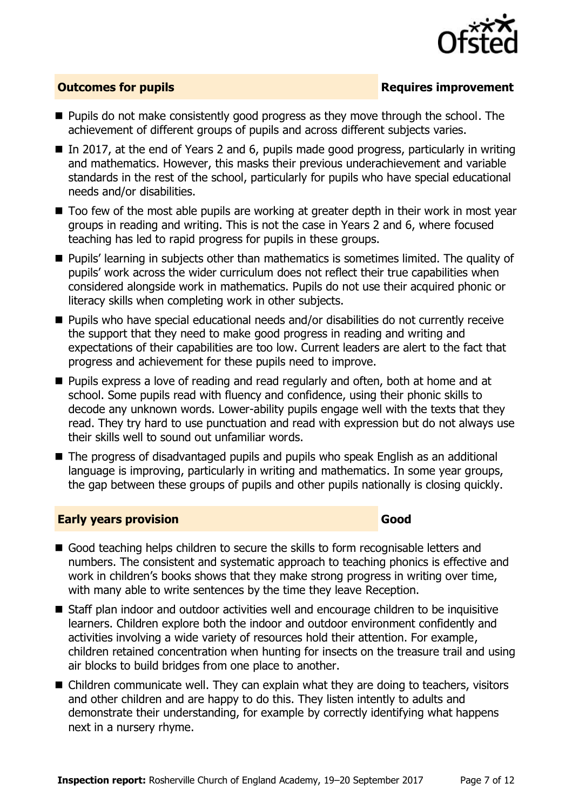

### **Outcomes for pupils Requires improvement**

- **Pupils do not make consistently good progress as they move through the school. The** achievement of different groups of pupils and across different subjects varies.
- In 2017, at the end of Years 2 and 6, pupils made good progress, particularly in writing and mathematics. However, this masks their previous underachievement and variable standards in the rest of the school, particularly for pupils who have special educational needs and/or disabilities.
- Too few of the most able pupils are working at greater depth in their work in most year groups in reading and writing. This is not the case in Years 2 and 6, where focused teaching has led to rapid progress for pupils in these groups.
- **Pupils' learning in subjects other than mathematics is sometimes limited. The quality of** pupils' work across the wider curriculum does not reflect their true capabilities when considered alongside work in mathematics. Pupils do not use their acquired phonic or literacy skills when completing work in other subjects.
- Pupils who have special educational needs and/or disabilities do not currently receive the support that they need to make good progress in reading and writing and expectations of their capabilities are too low. Current leaders are alert to the fact that progress and achievement for these pupils need to improve.
- **Pupils express a love of reading and read regularly and often, both at home and at** school. Some pupils read with fluency and confidence, using their phonic skills to decode any unknown words. Lower-ability pupils engage well with the texts that they read. They try hard to use punctuation and read with expression but do not always use their skills well to sound out unfamiliar words.
- The progress of disadvantaged pupils and pupils who speak English as an additional language is improving, particularly in writing and mathematics. In some year groups, the gap between these groups of pupils and other pupils nationally is closing quickly.

#### **Early years provision Good Good**

- Good teaching helps children to secure the skills to form recognisable letters and numbers. The consistent and systematic approach to teaching phonics is effective and work in children's books shows that they make strong progress in writing over time, with many able to write sentences by the time they leave Reception.
- Staff plan indoor and outdoor activities well and encourage children to be inquisitive learners. Children explore both the indoor and outdoor environment confidently and activities involving a wide variety of resources hold their attention. For example, children retained concentration when hunting for insects on the treasure trail and using air blocks to build bridges from one place to another.
- Children communicate well. They can explain what they are doing to teachers, visitors and other children and are happy to do this. They listen intently to adults and demonstrate their understanding, for example by correctly identifying what happens next in a nursery rhyme.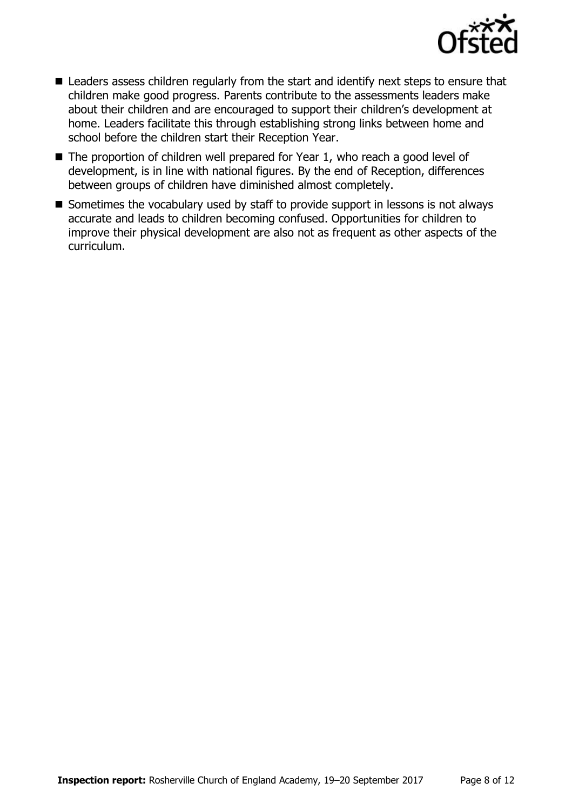

- Leaders assess children regularly from the start and identify next steps to ensure that children make good progress. Parents contribute to the assessments leaders make about their children and are encouraged to support their children's development at home. Leaders facilitate this through establishing strong links between home and school before the children start their Reception Year.
- The proportion of children well prepared for Year 1, who reach a good level of development, is in line with national figures. By the end of Reception, differences between groups of children have diminished almost completely.
- $\blacksquare$  Sometimes the vocabulary used by staff to provide support in lessons is not always accurate and leads to children becoming confused. Opportunities for children to improve their physical development are also not as frequent as other aspects of the curriculum.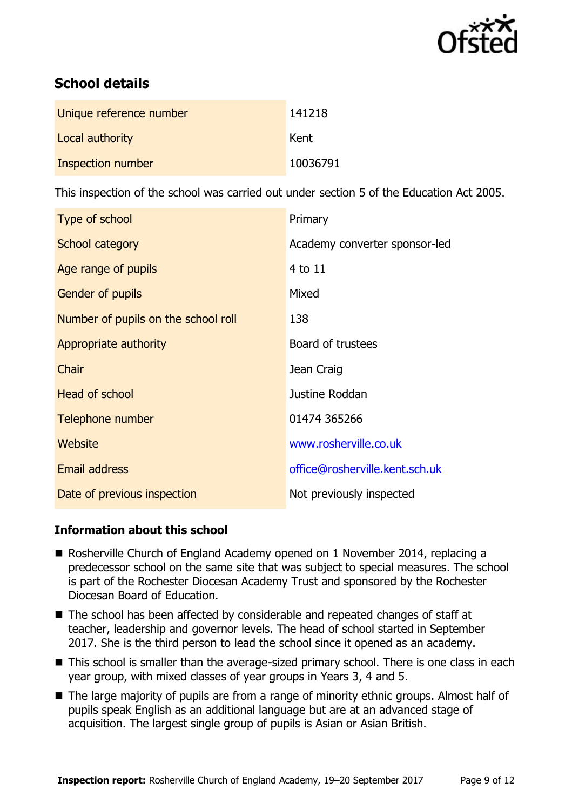

# **School details**

| Unique reference number | 141218   |
|-------------------------|----------|
| Local authority         | Kent     |
| Inspection number       | 10036791 |

This inspection of the school was carried out under section 5 of the Education Act 2005.

| Type of school                      | Primary                        |
|-------------------------------------|--------------------------------|
| School category                     | Academy converter sponsor-led  |
| Age range of pupils                 | $4$ to $11$                    |
| <b>Gender of pupils</b>             | Mixed                          |
| Number of pupils on the school roll | 138                            |
| Appropriate authority               | Board of trustees              |
| Chair                               | Jean Craig                     |
| Head of school                      | Justine Roddan                 |
| Telephone number                    | 01474 365266                   |
| Website                             | www.rosherville.co.uk          |
| <b>Email address</b>                | office@rosherville.kent.sch.uk |
| Date of previous inspection         | Not previously inspected       |

### **Information about this school**

- Rosherville Church of England Academy opened on 1 November 2014, replacing a predecessor school on the same site that was subject to special measures. The school is part of the Rochester Diocesan Academy Trust and sponsored by the Rochester Diocesan Board of Education.
- The school has been affected by considerable and repeated changes of staff at teacher, leadership and governor levels. The head of school started in September 2017. She is the third person to lead the school since it opened as an academy.
- This school is smaller than the average-sized primary school. There is one class in each year group, with mixed classes of year groups in Years 3, 4 and 5.
- The large majority of pupils are from a range of minority ethnic groups. Almost half of pupils speak English as an additional language but are at an advanced stage of acquisition. The largest single group of pupils is Asian or Asian British.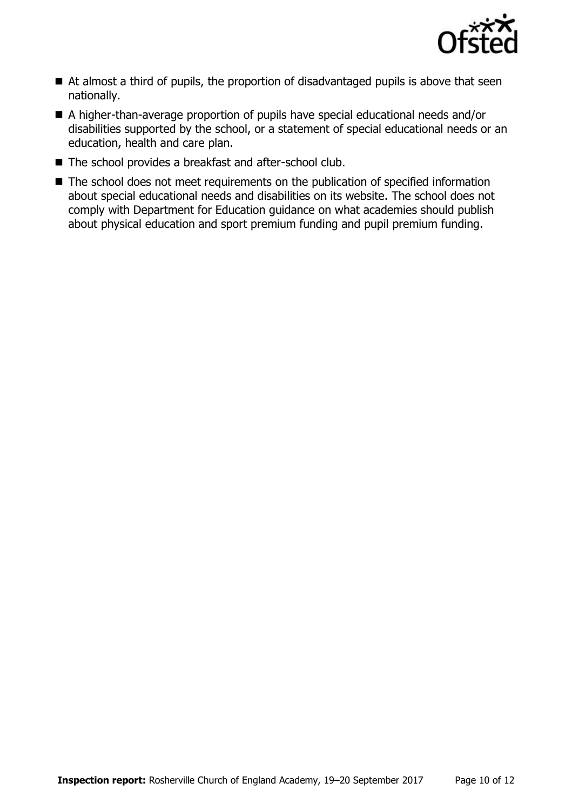

- At almost a third of pupils, the proportion of disadvantaged pupils is above that seen nationally.
- A higher-than-average proportion of pupils have special educational needs and/or disabilities supported by the school, or a statement of special educational needs or an education, health and care plan.
- The school provides a breakfast and after-school club.
- The school does not meet requirements on the publication of specified information about special educational needs and disabilities on its website. The school does not comply with Department for Education guidance on what academies should publish about physical education and sport premium funding and pupil premium funding.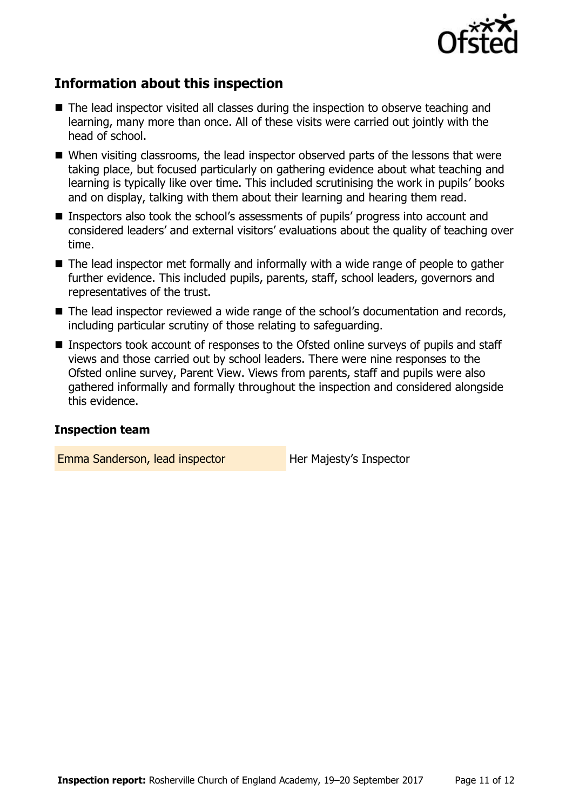

# **Information about this inspection**

- The lead inspector visited all classes during the inspection to observe teaching and learning, many more than once. All of these visits were carried out jointly with the head of school.
- When visiting classrooms, the lead inspector observed parts of the lessons that were taking place, but focused particularly on gathering evidence about what teaching and learning is typically like over time. This included scrutinising the work in pupils' books and on display, talking with them about their learning and hearing them read.
- Inspectors also took the school's assessments of pupils' progress into account and considered leaders' and external visitors' evaluations about the quality of teaching over time.
- The lead inspector met formally and informally with a wide range of people to gather further evidence. This included pupils, parents, staff, school leaders, governors and representatives of the trust.
- The lead inspector reviewed a wide range of the school's documentation and records, including particular scrutiny of those relating to safeguarding.
- Inspectors took account of responses to the Ofsted online surveys of pupils and staff views and those carried out by school leaders. There were nine responses to the Ofsted online survey, Parent View. Views from parents, staff and pupils were also gathered informally and formally throughout the inspection and considered alongside this evidence.

#### **Inspection team**

Emma Sanderson, lead inspector **Her Majesty's Inspector**